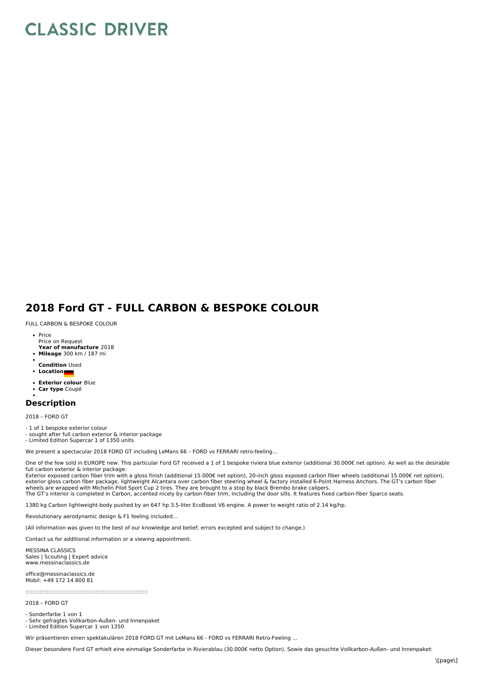## **CLASSIC DRIVER**

## **2018 Ford GT - FULL CARBON & BESPOKE COLOUR**

FULL CARBON & BESPOKE COLOUR

- **Year of manufacture** 2018 Price Price on Request
- **Mileage** 300 km / 187 mi
- **Condition** Used
- **Location**
- **Exterior colour** Blue
- **Car type** Coupé

## **Description**

2018 – FORD GT

- 1 of 1 bespoke exterior colour

- sought after full carbon exterior & interior package
- Limited Edition Supercar 1 of 1350 units

We present a spectacular 2018 FORD GT including LeMans 66 – FORD vs FERRARI retro-feeling…

One of the few sold in EUROPE new. This particular Ford GT received a 1 of 1 bespoke riviera blue exterior (additional 30.000€ net option). As well as the desirable full carbon exterior & interior package:

Exterior exposed carbon fiber trim with a gloss finish (additional 15.000€ net option), 20-inch gloss exposed carbon fiber wheels (additional 15.000€ net option), exterior gloss carbon fiber package, lightweight Alcantara over carbon fiber steering wheel & factory installed 6-Point Harness Anchors. The GT's carbon fiber<br>wheels are wrapped with Michelin Pilot Sport Cup 2 tires. They

1380 kg Carbon lightweight-body pushed by an 647 hp 3.5-liter EcoBoost V6 engine. A power to weight ratio of 2.14 kg/hp.

Revolutionary aerodynamic design & F1 feeling included…

(All information was given to the best of our knowledge and belief; errors excepted and subject to change.)

Contact us for additional information or a viewing appointment.

MESSINA CLASSICS Sales | Scouting | Expert advice www.messinaclassics.de

office@messinaclassics.de Mobil: +49 172 14 800 81

::::::::::::::::::::::::::::::::::::::::::::::::::::::::::::::::::::::

2018 – FORD GT

- Sonderfarbe 1 von 1

- Sehr gefragtes Vollkarbon-Außen- und Innenpaket - Limited Edition Supercar 1 von 1350

Wir präsentieren einen spektakulären 2018 FORD GT mit LeMans 66 - FORD vs FERRARI Retro-Feeling ...

Dieser besondere Ford GT erhielt eine einmalige Sonderfarbe in Rivierablau (30.000€ netto Option). Sowie das gesuchte Vollkarbon-Außen- und Innenpaket: